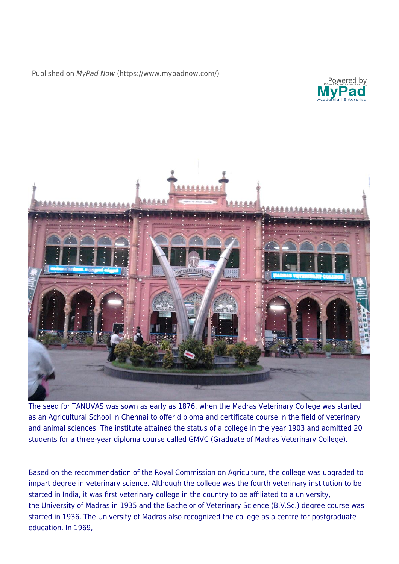Published on MyPad Now [\(https://www.mypadnow.com/](https://www.mypadnow.com/node/))





The seed for TANUVAS was sown as early as 1876, when the Madras Veterinary College was started as an Agricultural School in Chennai to offer diploma and certificate course in the field of veterinary and animal sciences. The institute attained the status of a college in the year 1903 and admitted 20 students for a three-year diploma course called GMVC (Graduate of Madras Veterinary College).

Based on the recommendation of the Royal Commission on Agriculture, the college was upgraded to impart degree in veterinary science. Although the college was the fourth veterinary institution to be started in India, it was first veterinary college in the country to be affiliated to a university, the University of Madras in 1935 and the Bachelor of Veterinary Science (B.V.Sc.) degree course was started in 1936. The University of Madras also recognized the college as a centre for postgraduate education. In 1969,